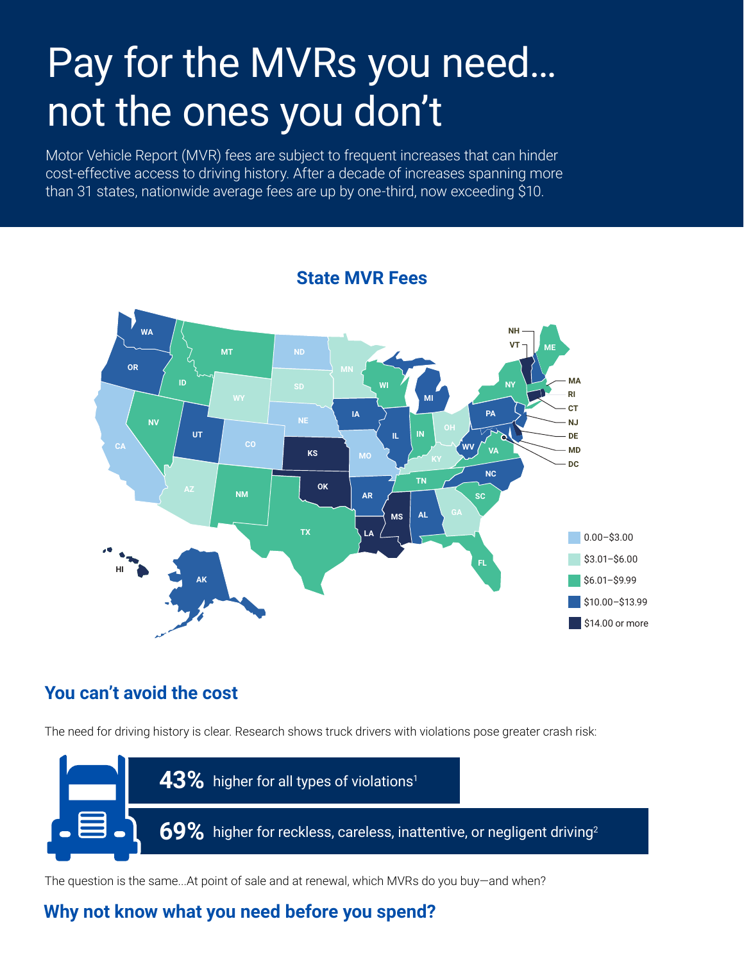# Pay for the MVRs you need… not the ones you don't

Motor Vehicle Report (MVR) fees are subject to frequent increases that can hinder cost-effective access to driving history. After a decade of increases spanning more than 31 states, nationwide average fees are up by one-third, now exceeding \$10.



## **State MVR Fees**

## **You can't avoid the cost**

The need for driving history is clear. Research shows truck drivers with violations pose greater crash risk:



The question is the same...At point of sale and at renewal, which MVRs do you buy—and when?

# **Why not know what you need before you spend?**